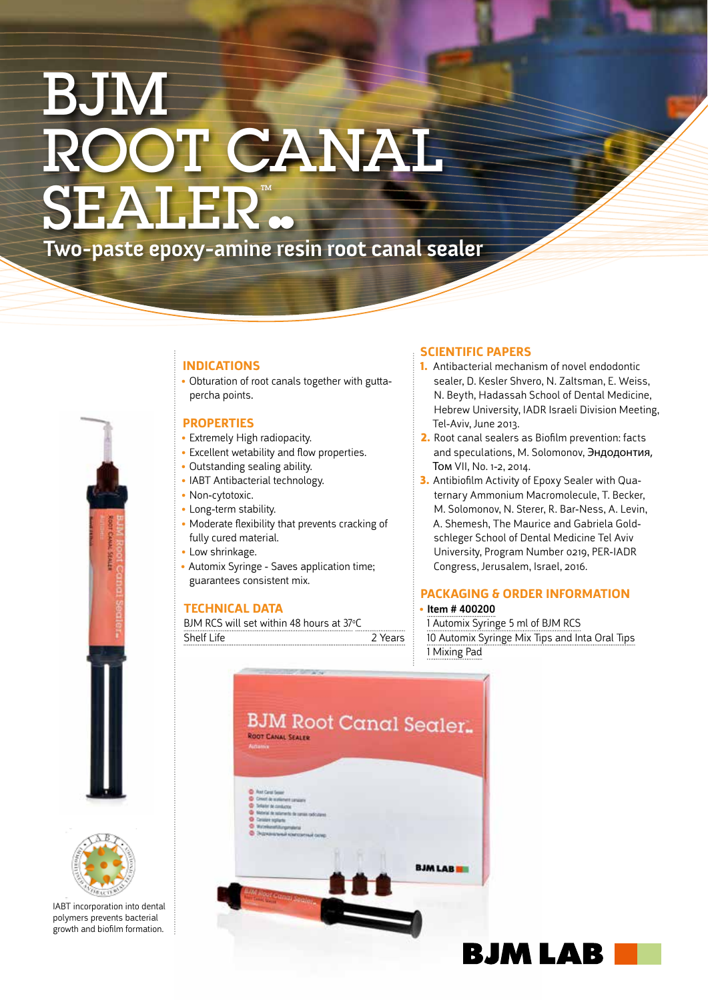# BJM ' CANAL SEALER.

**Two-paste epoxy-amine resin root canal sealer** 



# **INDICATIONS**

• Obturation of root canals together with gutta-<br>percha points.

## **PROPERTIES**

- Extremely High radiopacity.
- Excellent wetability and flow properties.
- Outstanding sealing ability.
- IABT Antibacterial technology.
- Non-cytotoxic.
- Long-term stability.
- Moderate flexibility that prevents cracking of fully cured material.
- Low shrinkage.
- Automix Syringe Saves application time: euarantees consistent mix.

#### **TECHNICAL DATA**

BJM RCS will set within 48 hours at 37°C Shelf Life 2 Years

## **SCIENTIFIC PAPERS**

- 1. Antibacterial mechanism of novel endodontic sealer, D. Kesler Shvero, N. Zaltsman, E. Weiss, N. Beyth, Hadassah School of Dental Medicine, Hebrew University, IADR Israeli Division Meeting, Tel-Aviv, June 2013.
- 2. Root canal sealers as Biofilm prevention: facts and speculations, M. Solomonov, Эндодонтия, Том VII, No. 1-2, 2014.
- ternary Ammonium Macromolecule, T. Becker, 3. Antibiofilm Activity of Epoxy Sealer with Qua-M. Solomonov, N. Sterer, R. Bar-Ness, A. Levin, schleger School of Dental Medicine Tel Aviv A. Shemesh, The Maurice and Gabriela Gold-University, Program Number 0219, PER-IADR Congress, Jerusalem, Israel, 2016.

# **PACKAGING & ORDER INFORMATION**

#### $\cdot$  Item # 400200

1 Automix Syringe 5 ml of BJM RCS The Coral International International International International International International International International International International International International International International International In 1 Mixing Pad



IABT incorporation into dental polymers prevents bacterial growth and biofilm formation.